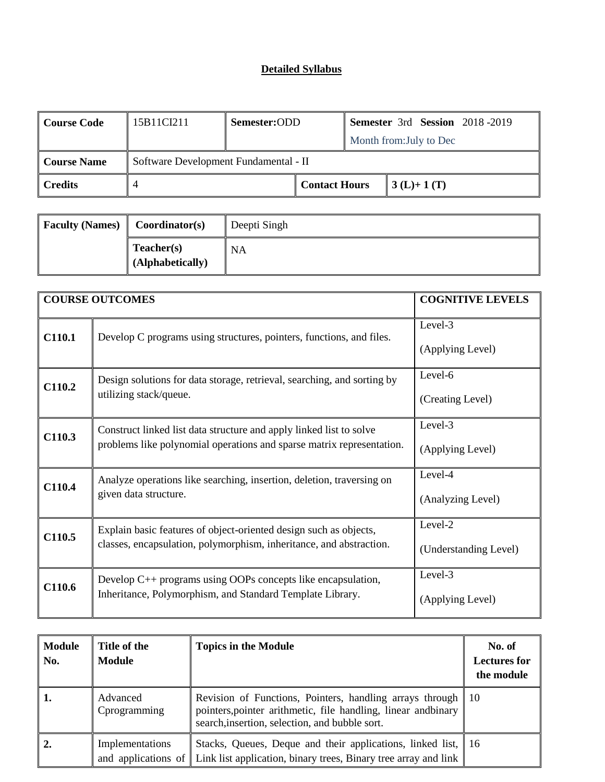| <b>Course Code</b> | 15B11CI211                            | Semester:ODD |                      |  | <b>Semester 3rd Session 2018-2019</b> |  |
|--------------------|---------------------------------------|--------------|----------------------|--|---------------------------------------|--|
|                    |                                       |              |                      |  | Month from: July to Dec               |  |
| <b>Course Name</b> | Software Development Fundamental - II |              |                      |  |                                       |  |
| <b>Credits</b>     |                                       |              | <b>Contact Hours</b> |  | $3(L)+1(T)$                           |  |

| <b>Faculty (Names)</b> | Coordinator(s)                 | Deepti Singh |
|------------------------|--------------------------------|--------------|
|                        | Teacher(s)<br>(Alphabetically) | NA           |

|        | <b>COURSE OUTCOMES</b>                                                                                                                       | <b>COGNITIVE LEVELS</b>          |
|--------|----------------------------------------------------------------------------------------------------------------------------------------------|----------------------------------|
| C110.1 | Develop C programs using structures, pointers, functions, and files.                                                                         | Level-3<br>(Applying Level)      |
| C110.2 | Design solutions for data storage, retrieval, searching, and sorting by<br>utilizing stack/queue.                                            | Level-6<br>(Creating Level)      |
| C110.3 | Construct linked list data structure and apply linked list to solve<br>problems like polynomial operations and sparse matrix representation. | Level-3<br>(Applying Level)      |
| C110.4 | Analyze operations like searching, insertion, deletion, traversing on<br>given data structure.                                               | Level-4<br>(Analyzing Level)     |
| C110.5 | Explain basic features of object-oriented design such as objects,<br>classes, encapsulation, polymorphism, inheritance, and abstraction.     | Level-2<br>(Understanding Level) |
| C110.6 | Develop $C_{++}$ programs using OOPs concepts like encapsulation,<br>Inheritance, Polymorphism, and Standard Template Library.               | Level-3<br>(Applying Level)      |

| <b>Module</b><br>No. | Title of the<br><b>Module</b> | <b>Topics in the Module</b>                                                                                                                                                     | No. of<br><b>Lectures for</b><br>the module |
|----------------------|-------------------------------|---------------------------------------------------------------------------------------------------------------------------------------------------------------------------------|---------------------------------------------|
| 1.                   | Advanced<br>Cprogramming      | Revision of Functions, Pointers, handling arrays through 10<br>pointers, pointer arithmetic, file handling, linear and binary<br>search, insertion, selection, and bubble sort. |                                             |
|                      | Implementations               | Stacks, Queues, Deque and their applications, linked list, 16<br>and applications of $\parallel$ Link list application, binary trees, Binary tree array and link                |                                             |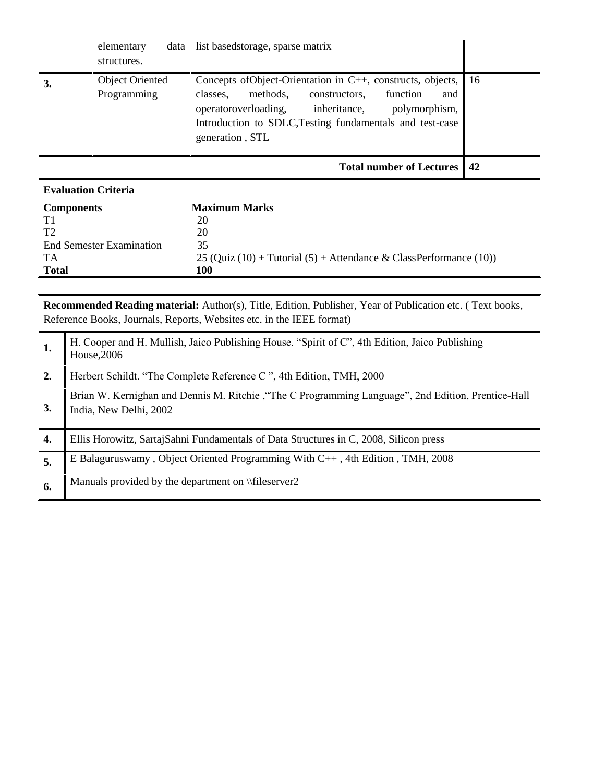|                            | elementary<br>structures.             | data   list basedstorage, sparse matrix                                                                                                                                                                                                                      |     |
|----------------------------|---------------------------------------|--------------------------------------------------------------------------------------------------------------------------------------------------------------------------------------------------------------------------------------------------------------|-----|
| 3.                         | <b>Object Oriented</b><br>Programming | Concepts of Object-Orientation in C++, constructs, objects,<br>methods,<br>function<br>classes,<br>constructors,<br>and<br>operatoroverloading, inheritance,<br>polymorphism,<br>Introduction to SDLC, Testing fundamentals and test-case<br>generation, STL | -16 |
|                            |                                       | <b>Total number of Lectures</b>                                                                                                                                                                                                                              | 42  |
|                            |                                       |                                                                                                                                                                                                                                                              |     |
| <b>Evaluation Criteria</b> |                                       |                                                                                                                                                                                                                                                              |     |
| <b>Components</b>          |                                       | <b>Maximum Marks</b>                                                                                                                                                                                                                                         |     |
| T <sub>1</sub>             |                                       | 20                                                                                                                                                                                                                                                           |     |
| T <sub>2</sub>             |                                       | 20                                                                                                                                                                                                                                                           |     |
|                            | End Semester Examination              | 35                                                                                                                                                                                                                                                           |     |
| TA                         |                                       | 25 (Quiz (10) + Tutorial (5) + Attendance & ClassPerformance (10))                                                                                                                                                                                           |     |

|     | <b>Recommended Reading material:</b> Author(s), Title, Edition, Publisher, Year of Publication etc. (Text books,<br>Reference Books, Journals, Reports, Websites etc. in the IEEE format) |  |  |  |
|-----|-------------------------------------------------------------------------------------------------------------------------------------------------------------------------------------------|--|--|--|
| -1. | H. Cooper and H. Mullish, Jaico Publishing House. "Spirit of C", 4th Edition, Jaico Publishing<br>House, 2006                                                                             |  |  |  |
| 2.  | Herbert Schildt. "The Complete Reference C", 4th Edition, TMH, 2000                                                                                                                       |  |  |  |
| 3.  | Brian W. Kernighan and Dennis M. Ritchie, "The C Programming Language", 2nd Edition, Prentice-Hall<br>India, New Delhi, 2002                                                              |  |  |  |
| 4.  | Ellis Horowitz, Sartaj Sahni Fundamentals of Data Structures in C, 2008, Silicon press                                                                                                    |  |  |  |
| 5.  | E Balaguruswamy, Object Oriented Programming With C++, 4th Edition, TMH, 2008                                                                                                             |  |  |  |
| 6.  | Manuals provided by the department on \\fileserver2                                                                                                                                       |  |  |  |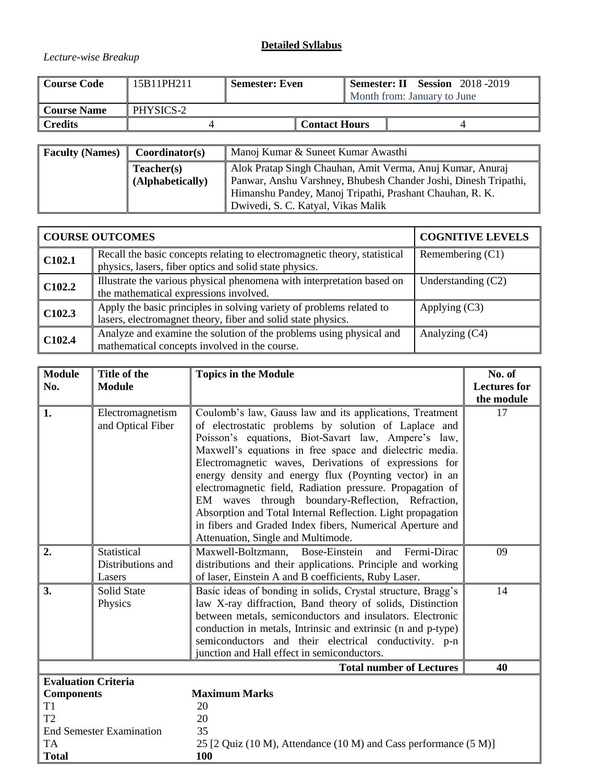## *Lecture-wise Breakup*

| <b>Course Code</b> | 15B11PH211 | <b>Semester: Even</b> |                      | <b>Semester: II Session</b> 2018 -2019 |
|--------------------|------------|-----------------------|----------------------|----------------------------------------|
|                    |            |                       |                      | Month from: January to June            |
| <b>Course Name</b> | PHYSICS-2  |                       |                      |                                        |
| <b>Credits</b>     |            |                       | <b>Contact Hours</b> |                                        |
|                    |            |                       |                      |                                        |

| <b>Faculty (Names)</b> | Coordinator(s)   | Manoj Kumar & Suneet Kumar Awasthi                                                                                          |  |
|------------------------|------------------|-----------------------------------------------------------------------------------------------------------------------------|--|
|                        | Teacher(s)       | Alok Pratap Singh Chauhan, Amit Verma, Anuj Kumar, Anuraj                                                                   |  |
|                        | (Alphabetically) | Panwar, Anshu Varshney, Bhubesh Chander Joshi, Dinesh Tripathi,<br>Himanshu Pandey, Manoj Tripathi, Prashant Chauhan, R. K. |  |
|                        |                  | Dwivedi, S. C. Katyal, Vikas Malik                                                                                          |  |

|                    | <b>COURSE OUTCOMES</b>                                                                                                               | <b>COGNITIVE LEVELS</b> |
|--------------------|--------------------------------------------------------------------------------------------------------------------------------------|-------------------------|
| C102.1             | Recall the basic concepts relating to electromagnetic theory, statistical<br>physics, lasers, fiber optics and solid state physics.  | Remembering $(C1)$      |
| C <sub>102.2</sub> | Illustrate the various physical phenomena with interpretation based on<br>the mathematical expressions involved.                     | Understanding $(C2)$    |
| C102.3             | Apply the basic principles in solving variety of problems related to<br>lasers, electromagnet theory, fiber and solid state physics. | Applying $(C3)$         |
| C102.4             | Analyze and examine the solution of the problems using physical and<br>mathematical concepts involved in the course.                 | Analyzing (C4)          |

| <b>Module</b><br>No.            | Title of the<br><b>Module</b>              | <b>Topics in the Module</b>                                                                                                                                                                                                                                                                                                                                                                                                                                                                                                                                                                                                               | No. of<br><b>Lectures for</b><br>the module |  |
|---------------------------------|--------------------------------------------|-------------------------------------------------------------------------------------------------------------------------------------------------------------------------------------------------------------------------------------------------------------------------------------------------------------------------------------------------------------------------------------------------------------------------------------------------------------------------------------------------------------------------------------------------------------------------------------------------------------------------------------------|---------------------------------------------|--|
| 1.                              | Electromagnetism<br>and Optical Fiber      | Coulomb's law, Gauss law and its applications, Treatment<br>of electrostatic problems by solution of Laplace and<br>Poisson's equations, Biot-Savart law, Ampere's law,<br>Maxwell's equations in free space and dielectric media.<br>Electromagnetic waves, Derivations of expressions for<br>energy density and energy flux (Poynting vector) in an<br>electromagnetic field, Radiation pressure. Propagation of<br>EM waves through boundary-Reflection, Refraction,<br>Absorption and Total Internal Reflection. Light propagation<br>in fibers and Graded Index fibers, Numerical Aperture and<br>Attenuation, Single and Multimode. | 17                                          |  |
| 2.                              | Statistical<br>Distributions and<br>Lasers | Maxwell-Boltzmann, Bose-Einstein<br>Fermi-Dirac<br>and<br>distributions and their applications. Principle and working<br>of laser, Einstein A and B coefficients, Ruby Laser.                                                                                                                                                                                                                                                                                                                                                                                                                                                             | 09                                          |  |
| 3.                              | <b>Solid State</b><br>Physics              | Basic ideas of bonding in solids, Crystal structure, Bragg's<br>law X-ray diffraction, Band theory of solids, Distinction<br>between metals, semiconductors and insulators. Electronic<br>conduction in metals, Intrinsic and extrinsic (n and p-type)<br>semiconductors and their electrical conductivity. p-n<br>junction and Hall effect in semiconductors.                                                                                                                                                                                                                                                                            | 14                                          |  |
|                                 |                                            | <b>Total number of Lectures</b>                                                                                                                                                                                                                                                                                                                                                                                                                                                                                                                                                                                                           | 40                                          |  |
|                                 | <b>Evaluation Criteria</b>                 |                                                                                                                                                                                                                                                                                                                                                                                                                                                                                                                                                                                                                                           |                                             |  |
| <b>Components</b>               |                                            | <b>Maximum Marks</b>                                                                                                                                                                                                                                                                                                                                                                                                                                                                                                                                                                                                                      |                                             |  |
| T1<br>T <sub>2</sub>            |                                            | 20<br>20                                                                                                                                                                                                                                                                                                                                                                                                                                                                                                                                                                                                                                  |                                             |  |
| <b>End Semester Examination</b> |                                            | 35                                                                                                                                                                                                                                                                                                                                                                                                                                                                                                                                                                                                                                        |                                             |  |
| <b>TA</b>                       |                                            | 25 [2 Quiz (10 M), Attendance (10 M) and Cass performance (5 M)]                                                                                                                                                                                                                                                                                                                                                                                                                                                                                                                                                                          |                                             |  |
| <b>Total</b>                    |                                            | 100                                                                                                                                                                                                                                                                                                                                                                                                                                                                                                                                                                                                                                       |                                             |  |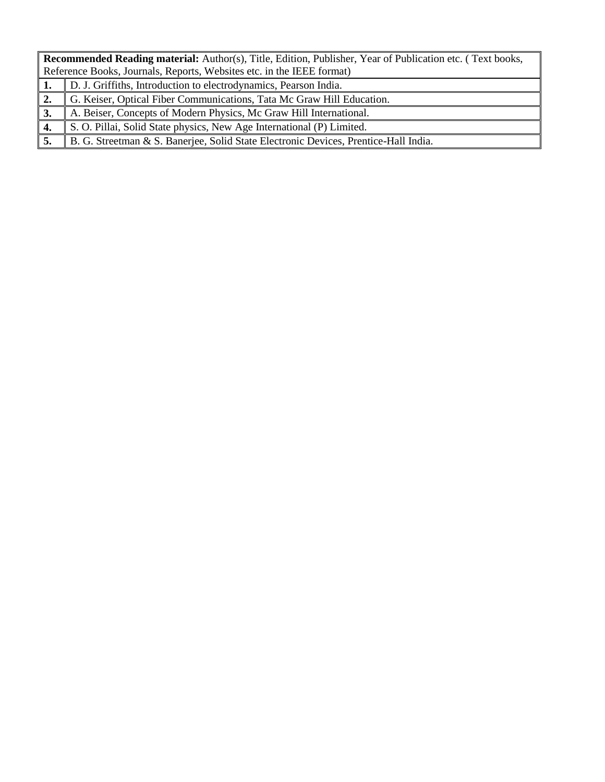|               | Recommended Reading material: Author(s), Title, Edition, Publisher, Year of Publication etc. (Text books, |  |  |  |  |
|---------------|-----------------------------------------------------------------------------------------------------------|--|--|--|--|
|               | Reference Books, Journals, Reports, Websites etc. in the IEEE format)                                     |  |  |  |  |
|               | D. J. Griffiths, Introduction to electrodynamics, Pearson India.                                          |  |  |  |  |
| <sup>2.</sup> | G. Keiser, Optical Fiber Communications, Tata Mc Graw Hill Education.                                     |  |  |  |  |
| 3.            | A. Beiser, Concepts of Modern Physics, Mc Graw Hill International.                                        |  |  |  |  |
| 4.            | S. O. Pillai, Solid State physics, New Age International (P) Limited.                                     |  |  |  |  |
|               | B. G. Streetman & S. Banerjee, Solid State Electronic Devices, Prentice-Hall India.                       |  |  |  |  |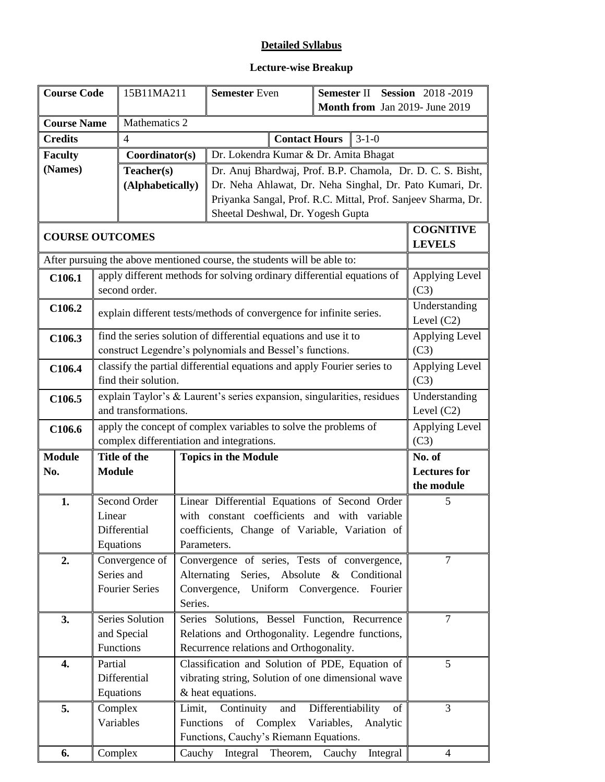# **Lecture-wise Breakup**

| <b>Course Code</b>     |                                                                                                 | 15B11MA211                                |                                                            | <b>Semester Even</b><br>Semester II Session 2018-2019                                         |                         |                                   |  |
|------------------------|-------------------------------------------------------------------------------------------------|-------------------------------------------|------------------------------------------------------------|-----------------------------------------------------------------------------------------------|-------------------------|-----------------------------------|--|
|                        |                                                                                                 |                                           |                                                            | Month from Jan 2019- June 2019                                                                |                         |                                   |  |
| <b>Course Name</b>     |                                                                                                 | Mathematics 2                             |                                                            |                                                                                               |                         |                                   |  |
| <b>Credits</b>         |                                                                                                 | $\overline{4}$                            |                                                            | <b>Contact Hours</b>                                                                          | $3-1-0$                 |                                   |  |
| <b>Faculty</b>         |                                                                                                 | Coordinator(s)                            |                                                            | Dr. Lokendra Kumar & Dr. Amita Bhagat                                                         |                         |                                   |  |
| (Names)<br>Teacher(s)  |                                                                                                 |                                           | Dr. Anuj Bhardwaj, Prof. B.P. Chamola, Dr. D. C. S. Bisht, |                                                                                               |                         |                                   |  |
| (Alphabetically)       |                                                                                                 |                                           | Dr. Neha Ahlawat, Dr. Neha Singhal, Dr. Pato Kumari, Dr.   |                                                                                               |                         |                                   |  |
|                        |                                                                                                 |                                           |                                                            | Priyanka Sangal, Prof. R.C. Mittal, Prof. Sanjeev Sharma, Dr.                                 |                         |                                   |  |
|                        |                                                                                                 |                                           |                                                            | Sheetal Deshwal, Dr. Yogesh Gupta                                                             |                         |                                   |  |
| <b>COURSE OUTCOMES</b> |                                                                                                 |                                           |                                                            |                                                                                               |                         | <b>COGNITIVE</b><br><b>LEVELS</b> |  |
|                        |                                                                                                 |                                           |                                                            | After pursuing the above mentioned course, the students will be able to:                      |                         |                                   |  |
| C106.1                 |                                                                                                 |                                           |                                                            | apply different methods for solving ordinary differential equations of                        |                         | Applying Level                    |  |
|                        |                                                                                                 | second order.                             |                                                            |                                                                                               |                         | (C3)                              |  |
| C106.2                 |                                                                                                 |                                           |                                                            | explain different tests/methods of convergence for infinite series.                           |                         | Understanding                     |  |
|                        |                                                                                                 |                                           |                                                            | find the series solution of differential equations and use it to                              |                         | Level $(C2)$<br>Applying Level    |  |
| C106.3                 |                                                                                                 |                                           |                                                            | construct Legendre's polynomials and Bessel's functions.                                      |                         | (C3)                              |  |
|                        |                                                                                                 |                                           |                                                            |                                                                                               |                         | Applying Level                    |  |
| C106.4                 | classify the partial differential equations and apply Fourier series to<br>find their solution. |                                           |                                                            |                                                                                               | (C3)                    |                                   |  |
| C106.5                 |                                                                                                 |                                           |                                                            | explain Taylor's & Laurent's series expansion, singularities, residues                        |                         | Understanding                     |  |
|                        | and transformations.                                                                            |                                           |                                                            |                                                                                               | Level $(C2)$            |                                   |  |
| C106.6                 |                                                                                                 |                                           |                                                            | apply the concept of complex variables to solve the problems of                               |                         | Applying Level                    |  |
|                        |                                                                                                 | complex differentiation and integrations. |                                                            |                                                                                               | (C3)                    |                                   |  |
| <b>Module</b>          |                                                                                                 | Title of the                              |                                                            | <b>Topics in the Module</b>                                                                   |                         | No. of                            |  |
| No.                    | <b>Module</b>                                                                                   |                                           |                                                            |                                                                                               |                         | <b>Lectures</b> for               |  |
|                        |                                                                                                 | Second Order                              |                                                            |                                                                                               |                         | the module                        |  |
| 1.                     | Linear                                                                                          |                                           |                                                            | Linear Differential Equations of Second Order<br>with constant coefficients and with variable |                         | 5                                 |  |
|                        |                                                                                                 | Differential                              |                                                            | coefficients, Change of Variable, Variation of                                                |                         |                                   |  |
|                        |                                                                                                 | Equations                                 | Parameters.                                                |                                                                                               |                         |                                   |  |
| 2.                     |                                                                                                 | Convergence of                            |                                                            | Convergence of series, Tests of convergence,                                                  |                         | $\overline{7}$                    |  |
|                        |                                                                                                 | Series and                                |                                                            | Alternating Series, Absolute & Conditional                                                    |                         |                                   |  |
|                        |                                                                                                 | <b>Fourier Series</b>                     |                                                            | Convergence, Uniform Convergence.                                                             | Fourier                 |                                   |  |
|                        |                                                                                                 |                                           | Series.                                                    |                                                                                               |                         |                                   |  |
| 3.                     |                                                                                                 | Series Solution                           |                                                            | Series Solutions, Bessel Function, Recurrence                                                 |                         | 7                                 |  |
|                        |                                                                                                 | and Special                               |                                                            | Relations and Orthogonality. Legendre functions,                                              |                         |                                   |  |
|                        |                                                                                                 | Functions                                 |                                                            | Recurrence relations and Orthogonality.                                                       |                         |                                   |  |
| 4.                     | Partial                                                                                         |                                           |                                                            | Classification and Solution of PDE, Equation of                                               |                         | 5                                 |  |
|                        |                                                                                                 | Differential<br>Equations                 |                                                            | vibrating string, Solution of one dimensional wave<br>& heat equations.                       |                         |                                   |  |
| 5.                     |                                                                                                 |                                           | Limit,                                                     | Continuity<br>and                                                                             | Differentiability<br>of | 3                                 |  |
|                        | Complex                                                                                         | Variables                                 | Functions                                                  | Complex<br>of                                                                                 | Variables,<br>Analytic  |                                   |  |
|                        |                                                                                                 |                                           |                                                            | Functions, Cauchy's Riemann Equations.                                                        |                         |                                   |  |
| 6.                     | Complex                                                                                         |                                           |                                                            | Cauchy Integral Theorem,                                                                      | Cauchy<br>Integral      | $\overline{4}$                    |  |
|                        |                                                                                                 |                                           |                                                            |                                                                                               |                         |                                   |  |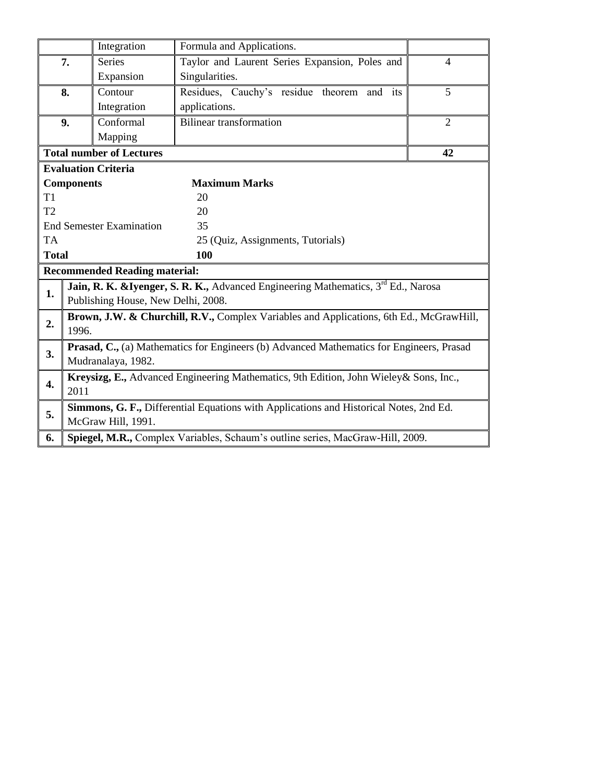|                |                                                                                          | Integration                          | Formula and Applications.                                                                      |                |  |
|----------------|------------------------------------------------------------------------------------------|--------------------------------------|------------------------------------------------------------------------------------------------|----------------|--|
|                | 7.                                                                                       | <b>Series</b>                        | Taylor and Laurent Series Expansion, Poles and                                                 | $\overline{4}$ |  |
|                |                                                                                          | Expansion                            | Singularities.                                                                                 |                |  |
|                | 8.                                                                                       | Contour                              | Residues, Cauchy's residue theorem and its                                                     | 5              |  |
|                |                                                                                          | Integration                          | applications.                                                                                  |                |  |
|                | 9.                                                                                       | Conformal                            | <b>Bilinear transformation</b>                                                                 | $\overline{2}$ |  |
|                |                                                                                          | Mapping                              |                                                                                                |                |  |
|                |                                                                                          | <b>Total number of Lectures</b>      |                                                                                                | 42             |  |
|                |                                                                                          | <b>Evaluation Criteria</b>           |                                                                                                |                |  |
|                | <b>Components</b>                                                                        |                                      | <b>Maximum Marks</b>                                                                           |                |  |
| T1             |                                                                                          |                                      | 20                                                                                             |                |  |
| T <sub>2</sub> |                                                                                          |                                      | 20                                                                                             |                |  |
|                |                                                                                          | <b>End Semester Examination</b>      | 35                                                                                             |                |  |
| <b>TA</b>      |                                                                                          |                                      | 25 (Quiz, Assignments, Tutorials)                                                              |                |  |
| <b>Total</b>   |                                                                                          |                                      | 100                                                                                            |                |  |
|                |                                                                                          | <b>Recommended Reading material:</b> |                                                                                                |                |  |
| 1.             |                                                                                          |                                      | Jain, R. K. & Iyenger, S. R. K., Advanced Engineering Mathematics, 3 <sup>rd</sup> Ed., Narosa |                |  |
|                |                                                                                          | Publishing House, New Delhi, 2008.   |                                                                                                |                |  |
| 2.             |                                                                                          |                                      | Brown, J.W. & Churchill, R.V., Complex Variables and Applications, 6th Ed., McGrawHill,        |                |  |
|                | 1996.                                                                                    |                                      |                                                                                                |                |  |
| 3.             | Prasad, C., (a) Mathematics for Engineers (b) Advanced Mathematics for Engineers, Prasad |                                      |                                                                                                |                |  |
|                | Mudranalaya, 1982.                                                                       |                                      |                                                                                                |                |  |
| 4.             | Kreysizg, E., Advanced Engineering Mathematics, 9th Edition, John Wieley & Sons, Inc.,   |                                      |                                                                                                |                |  |
|                | 2011                                                                                     |                                      |                                                                                                |                |  |
| 5.             |                                                                                          |                                      | Simmons, G. F., Differential Equations with Applications and Historical Notes, 2nd Ed.         |                |  |
|                |                                                                                          | McGraw Hill, 1991.                   |                                                                                                |                |  |
| 6.             |                                                                                          |                                      | Spiegel, M.R., Complex Variables, Schaum's outline series, MacGraw-Hill, 2009.                 |                |  |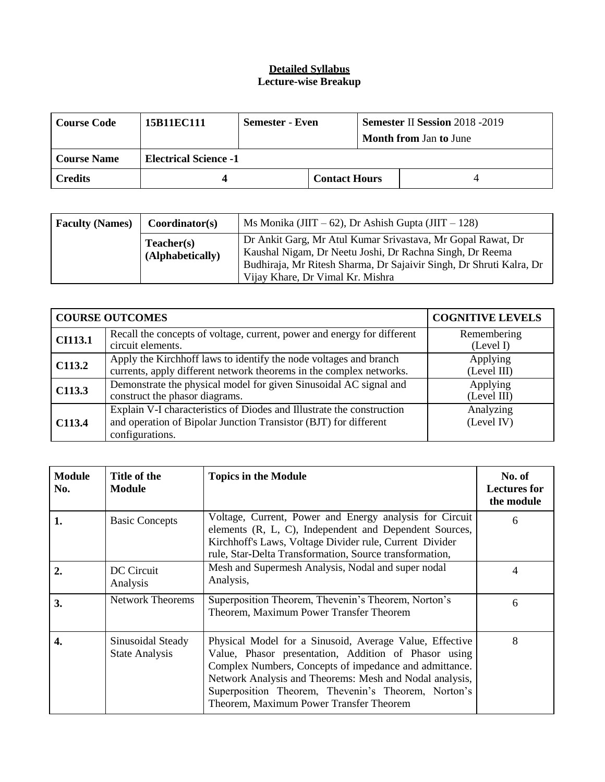#### **Detailed Syllabus Lecture-wise Breakup**

| <b>Course Code</b> | 15B11EC111                   | Semester - Even |                      | <b>Semester II Session 2018 -2019</b><br><b>Month from Jan to June</b> |  |  |
|--------------------|------------------------------|-----------------|----------------------|------------------------------------------------------------------------|--|--|
| <b>Course Name</b> | <b>Electrical Science -1</b> |                 |                      |                                                                        |  |  |
| <b>Credits</b>     |                              |                 | <b>Contact Hours</b> |                                                                        |  |  |

| <b>Faculty (Names)</b> | Coordinator(s)                 | Ms Monika (JIIT $-62$ ), Dr Ashish Gupta (JIIT $-128$ )                                                                                                                                                                            |
|------------------------|--------------------------------|------------------------------------------------------------------------------------------------------------------------------------------------------------------------------------------------------------------------------------|
|                        | Teacher(s)<br>(Alphabetically) | Dr Ankit Garg, Mr Atul Kumar Srivastava, Mr Gopal Rawat, Dr<br>Kaushal Nigam, Dr Neetu Joshi, Dr Rachna Singh, Dr Reema<br>Budhiraja, Mr Ritesh Sharma, Dr Sajaivir Singh, Dr Shruti Kalra, Dr<br>Vijay Khare, Dr Vimal Kr. Mishra |

|                    | <b>COURSE OUTCOMES</b>                                                                                                                                       | <b>COGNITIVE LEVELS</b>  |
|--------------------|--------------------------------------------------------------------------------------------------------------------------------------------------------------|--------------------------|
| <b>CI113.1</b>     | Recall the concepts of voltage, current, power and energy for different<br>circuit elements.                                                                 | Remembering<br>(Level I) |
| C113.2             | Apply the Kirchhoff laws to identify the node voltages and branch<br>currents, apply different network theorems in the complex networks.                     | Applying<br>(Level III)  |
| C113.3             | Demonstrate the physical model for given Sinusoidal AC signal and<br>construct the phasor diagrams.                                                          | Applying<br>(Level III)  |
| C <sub>113.4</sub> | Explain V-I characteristics of Diodes and Illustrate the construction<br>and operation of Bipolar Junction Transistor (BJT) for different<br>configurations. | Analyzing<br>(Level IV)  |

| <b>Module</b><br>No. | Title of the<br>Module                     | <b>Topics in the Module</b>                                                                                                                                                                                                                                                                                                            | No. of<br><b>Lectures for</b><br>the module |
|----------------------|--------------------------------------------|----------------------------------------------------------------------------------------------------------------------------------------------------------------------------------------------------------------------------------------------------------------------------------------------------------------------------------------|---------------------------------------------|
| 1.                   | <b>Basic Concepts</b>                      | Voltage, Current, Power and Energy analysis for Circuit<br>elements (R, L, C), Independent and Dependent Sources,<br>Kirchhoff's Laws, Voltage Divider rule, Current Divider<br>rule, Star-Delta Transformation, Source transformation,                                                                                                | 6                                           |
| $\overline{2}$ .     | DC Circuit<br>Analysis                     | Mesh and Supermesh Analysis, Nodal and super nodal<br>Analysis,                                                                                                                                                                                                                                                                        | 4                                           |
| 3.                   | Network Theorems                           | Superposition Theorem, Thevenin's Theorem, Norton's<br>Theorem, Maximum Power Transfer Theorem                                                                                                                                                                                                                                         | 6                                           |
| 4.                   | Sinusoidal Steady<br><b>State Analysis</b> | Physical Model for a Sinusoid, Average Value, Effective<br>Value, Phasor presentation, Addition of Phasor using<br>Complex Numbers, Concepts of impedance and admittance.<br>Network Analysis and Theorems: Mesh and Nodal analysis,<br>Superposition Theorem, Thevenin's Theorem, Norton's<br>Theorem, Maximum Power Transfer Theorem | 8                                           |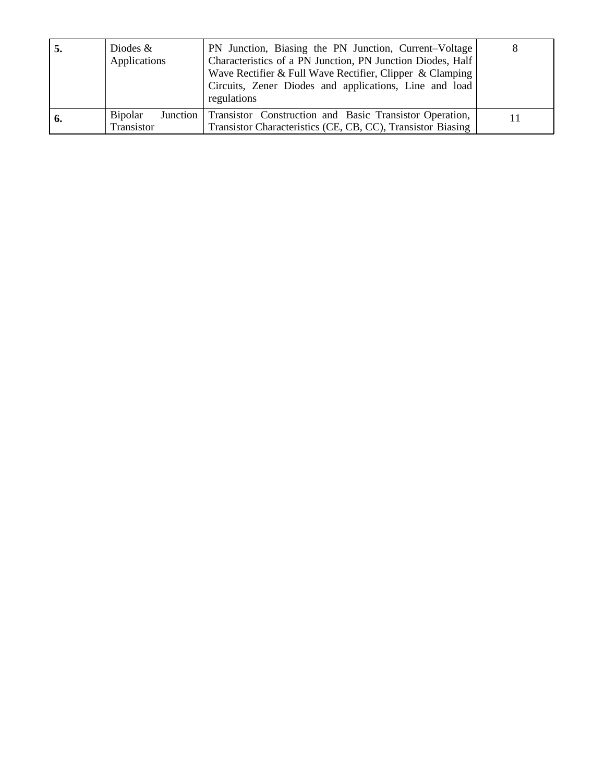| $\mathbf{b}$ | Diodes $\&$<br>Applications  | PN Junction, Biasing the PN Junction, Current–Voltage<br>Characteristics of a PN Junction, PN Junction Diodes, Half<br>Wave Rectifier & Full Wave Rectifier, Clipper & Clamping<br>Circuits, Zener Diodes and applications, Line and load<br>regulations | 8 |
|--------------|------------------------------|----------------------------------------------------------------------------------------------------------------------------------------------------------------------------------------------------------------------------------------------------------|---|
| n.           | <b>Bipolar</b><br>Transistor | Junction Transistor Construction and Basic Transistor Operation,<br>Transistor Characteristics (CE, CB, CC), Transistor Biasing                                                                                                                          |   |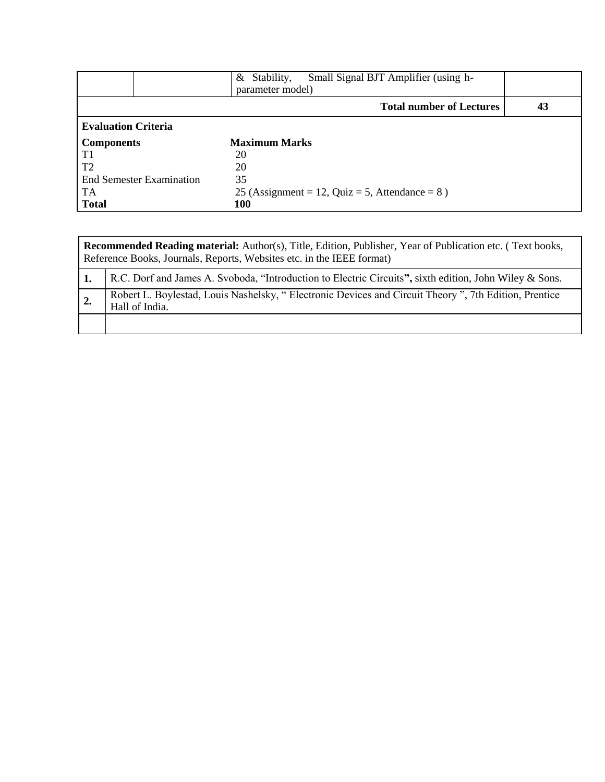|                                 | Small Signal BJT Amplifier (using h-<br>Stability,<br>& |    |
|---------------------------------|---------------------------------------------------------|----|
|                                 | parameter model)                                        |    |
|                                 | <b>Total number of Lectures</b>                         | 43 |
| <b>Evaluation Criteria</b>      |                                                         |    |
| <b>Components</b>               | <b>Maximum Marks</b>                                    |    |
| T1                              | 20                                                      |    |
| T <sub>2</sub>                  | 20                                                      |    |
| <b>End Semester Examination</b> | 35                                                      |    |
| TA                              | 25 (Assignment = 12, Quiz = 5, Attendance = $8$ )       |    |
| <b>Total</b>                    | 100                                                     |    |

|    | <b>Recommended Reading material:</b> Author(s), Title, Edition, Publisher, Year of Publication etc. (Text books,<br>Reference Books, Journals, Reports, Websites etc. in the IEEE format) |  |  |  |  |
|----|-------------------------------------------------------------------------------------------------------------------------------------------------------------------------------------------|--|--|--|--|
|    | R.C. Dorf and James A. Svoboda, "Introduction to Electric Circuits", sixth edition, John Wiley & Sons.                                                                                    |  |  |  |  |
| 2. | Robert L. Boylestad, Louis Nashelsky, "Electronic Devices and Circuit Theory", 7th Edition, Prentice<br>Hall of India.                                                                    |  |  |  |  |
|    |                                                                                                                                                                                           |  |  |  |  |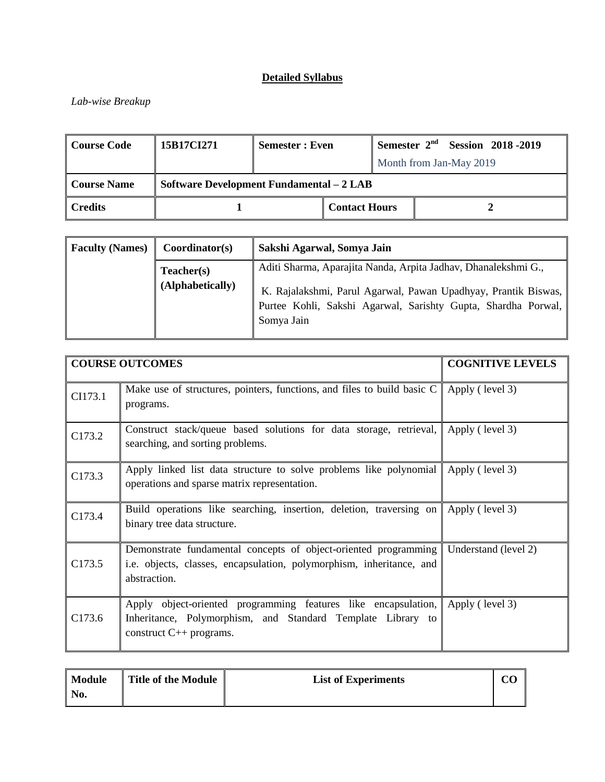#### *Lab-wise Breakup*

| Course Code                                               | 15B17CI271 | <b>Semester: Even</b> |                      |  |                         | Semester $2nd$ Session 2018 -2019 |
|-----------------------------------------------------------|------------|-----------------------|----------------------|--|-------------------------|-----------------------------------|
|                                                           |            |                       |                      |  | Month from Jan-May 2019 |                                   |
| Software Development Fundamental - 2 LAB<br>  Course Name |            |                       |                      |  |                         |                                   |
| $\ $ Credits                                              |            |                       | <b>Contact Hours</b> |  |                         |                                   |

| <b>Faculty (Names)</b> | Coordinator(s)                 | Sakshi Agarwal, Somya Jain                                                                                                                                                                                        |
|------------------------|--------------------------------|-------------------------------------------------------------------------------------------------------------------------------------------------------------------------------------------------------------------|
|                        | Teacher(s)<br>(Alphabetically) | Aditi Sharma, Aparajita Nanda, Arpita Jadhav, Dhanalekshmi G.,<br>K. Rajalakshmi, Parul Agarwal, Pawan Upadhyay, Prantik Biswas,  <br>Purtee Kohli, Sakshi Agarwal, Sarishty Gupta, Shardha Porwal,<br>Somya Jain |

|         | <b>COURSE OUTCOMES</b>                                                                                                                                        | <b>COGNITIVE LEVELS</b> |
|---------|---------------------------------------------------------------------------------------------------------------------------------------------------------------|-------------------------|
| CI173.1 | Make use of structures, pointers, functions, and files to build basic C<br>programs.                                                                          | Apply (level 3)         |
| C173.2  | Construct stack/queue based solutions for data storage, retrieval,<br>searching, and sorting problems.                                                        | Apply (level 3)         |
| C173.3  | Apply linked list data structure to solve problems like polynomial<br>operations and sparse matrix representation.                                            | Apply (level 3)         |
| C173.4  | Build operations like searching, insertion, deletion, traversing on<br>binary tree data structure.                                                            | Apply (level 3)         |
| C173.5  | Demonstrate fundamental concepts of object-oriented programming<br>i.e. objects, classes, encapsulation, polymorphism, inheritance, and<br>abstraction.       | Understand (level 2)    |
| C173.6  | Apply object-oriented programming features like encapsulation,<br>Inheritance, Polymorphism, and Standard Template Library to<br>construct $C_{++}$ programs. | Apply (level 3)         |

| Module<br>  No. | Title of the Module | <b>List of Experiments</b> | oρ |
|-----------------|---------------------|----------------------------|----|
|-----------------|---------------------|----------------------------|----|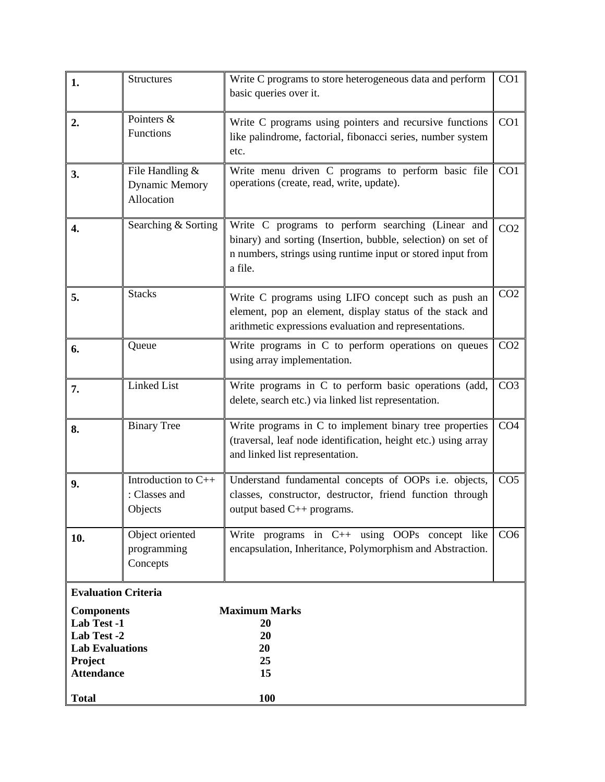| 1.                                                                                                        | <b>Structures</b>                                      | Write C programs to store heterogeneous data and perform<br>basic queries over it.                                                                                                          | CO1             |
|-----------------------------------------------------------------------------------------------------------|--------------------------------------------------------|---------------------------------------------------------------------------------------------------------------------------------------------------------------------------------------------|-----------------|
| 2.                                                                                                        | Pointers &<br>Functions                                | Write C programs using pointers and recursive functions<br>like palindrome, factorial, fibonacci series, number system<br>etc.                                                              | CO1             |
| 3.                                                                                                        | File Handling &<br><b>Dynamic Memory</b><br>Allocation | Write menu driven C programs to perform basic file<br>operations (create, read, write, update).                                                                                             | CO <sub>1</sub> |
| 4.                                                                                                        | Searching & Sorting                                    | Write C programs to perform searching (Linear and<br>binary) and sorting (Insertion, bubble, selection) on set of<br>n numbers, strings using runtime input or stored input from<br>a file. | CO <sub>2</sub> |
| 5.                                                                                                        | <b>Stacks</b>                                          | Write C programs using LIFO concept such as push an<br>element, pop an element, display status of the stack and<br>arithmetic expressions evaluation and representations.                   | CO <sub>2</sub> |
| 6.                                                                                                        | Queue                                                  | Write programs in C to perform operations on queues<br>using array implementation.                                                                                                          | CO <sub>2</sub> |
| 7.                                                                                                        | <b>Linked List</b>                                     | Write programs in C to perform basic operations (add,<br>delete, search etc.) via linked list representation.                                                                               | CO <sub>3</sub> |
| 8.                                                                                                        | <b>Binary Tree</b>                                     | Write programs in C to implement binary tree properties<br>(traversal, leaf node identification, height etc.) using array<br>and linked list representation.                                | CO <sub>4</sub> |
| 9.                                                                                                        | Introduction to C++<br>: Classes and<br>Objects        | Understand fundamental concepts of OOPs i.e. objects,<br>classes, constructor, destructor, friend function through<br>output based C++ programs.                                            | CO <sub>5</sub> |
| 10.                                                                                                       | Object oriented<br>programming<br>Concepts             | Write programs in $C++$ using OOPs concept like<br>encapsulation, Inheritance, Polymorphism and Abstraction.                                                                                | CO <sub>6</sub> |
| <b>Evaluation Criteria</b>                                                                                |                                                        |                                                                                                                                                                                             |                 |
| <b>Components</b><br>Lab Test -1<br>Lab Test -2<br><b>Lab Evaluations</b><br>Project<br><b>Attendance</b> |                                                        | <b>Maximum Marks</b><br>20<br>20<br>20<br>25<br>15                                                                                                                                          |                 |
| <b>Total</b>                                                                                              |                                                        | 100                                                                                                                                                                                         |                 |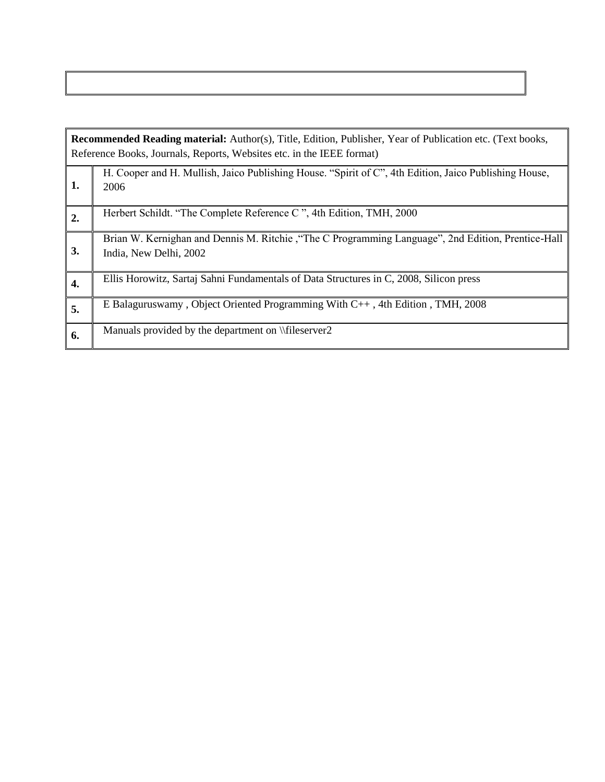|    | Recommended Reading material: Author(s), Title, Edition, Publisher, Year of Publication etc. (Text books,<br>Reference Books, Journals, Reports, Websites etc. in the IEEE format) |  |  |  |  |
|----|------------------------------------------------------------------------------------------------------------------------------------------------------------------------------------|--|--|--|--|
| 1. | H. Cooper and H. Mullish, Jaico Publishing House. "Spirit of C", 4th Edition, Jaico Publishing House,<br>2006                                                                      |  |  |  |  |
| 2. | Herbert Schildt. "The Complete Reference C", 4th Edition, TMH, 2000                                                                                                                |  |  |  |  |
| 3. | Brian W. Kernighan and Dennis M. Ritchie, "The C Programming Language", 2nd Edition, Prentice-Hall<br>India, New Delhi, 2002                                                       |  |  |  |  |
| 4. | Ellis Horowitz, Sartaj Sahni Fundamentals of Data Structures in C, 2008, Silicon press                                                                                             |  |  |  |  |
| 5. | E Balaguruswamy, Object Oriented Programming With C++, 4th Edition, TMH, 2008                                                                                                      |  |  |  |  |
| 6. | Manuals provided by the department on \\fileserver2                                                                                                                                |  |  |  |  |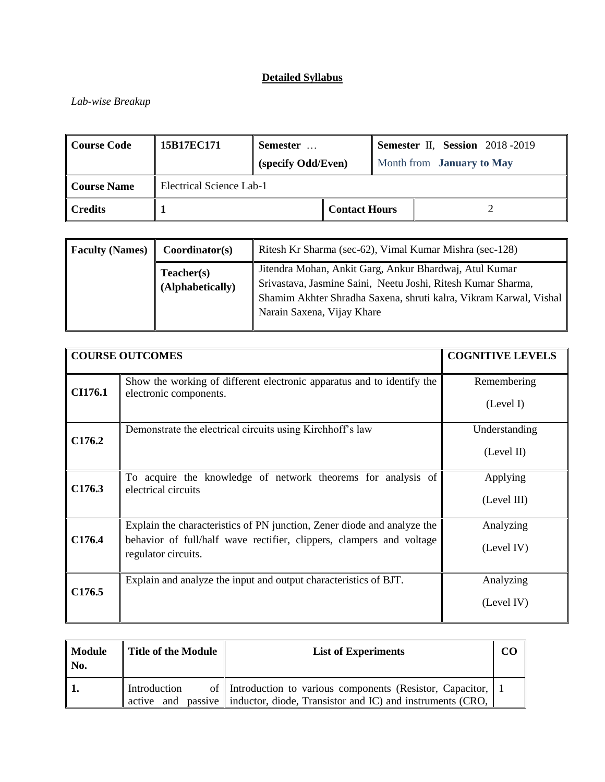## *Lab-wise Breakup*

| <b>Course Code</b>                             | 15B17EC171 | Semester           |  |                                  | Semester II, Session 2018-2019 |  |
|------------------------------------------------|------------|--------------------|--|----------------------------------|--------------------------------|--|
|                                                |            | (specify Odd/Even) |  | Month from <b>January to May</b> |                                |  |
| Electrical Science Lab-1<br><b>Course Name</b> |            |                    |  |                                  |                                |  |
| <b>Credits</b><br><b>Contact Hours</b>         |            |                    |  |                                  |                                |  |

| <b>Faculty (Names)</b> | Coordinator(s)                 | Ritesh Kr Sharma (sec-62), Vimal Kumar Mishra (sec-128)                                                                                                                                                                   |
|------------------------|--------------------------------|---------------------------------------------------------------------------------------------------------------------------------------------------------------------------------------------------------------------------|
|                        | Teacher(s)<br>(Alphabetically) | Jitendra Mohan, Ankit Garg, Ankur Bhardwaj, Atul Kumar<br>Srivastava, Jasmine Saini, Neetu Joshi, Ritesh Kumar Sharma,<br>Shamim Akhter Shradha Saxena, shruti kalra, Vikram Karwal, Vishal<br>Narain Saxena, Vijay Khare |

|                    | <b>COURSE OUTCOMES</b>                                                                                                                                                 | <b>COGNITIVE LEVELS</b>     |
|--------------------|------------------------------------------------------------------------------------------------------------------------------------------------------------------------|-----------------------------|
| CI176.1            | Show the working of different electronic apparatus and to identify the<br>electronic components.                                                                       | Remembering<br>(Level I)    |
| C176.2             | Demonstrate the electrical circuits using Kirchhoff's law                                                                                                              | Understanding<br>(Level II) |
| C <sub>176.3</sub> | To acquire the knowledge of network theorems for analysis of<br>electrical circuits                                                                                    | Applying<br>(Level III)     |
| C176.4             | Explain the characteristics of PN junction, Zener diode and analyze the<br>behavior of full/half wave rectifier, clippers, clampers and voltage<br>regulator circuits. | Analyzing<br>(Level IV)     |
| C <sub>176.5</sub> | Explain and analyze the input and output characteristics of BJT.                                                                                                       | Analyzing<br>(Level IV)     |

| <b>Module</b><br>No. | Title of the Module           | <b>List of Experiments</b>                                                                                                            |  |
|----------------------|-------------------------------|---------------------------------------------------------------------------------------------------------------------------------------|--|
|                      | Introduction<br>and<br>active | of Introduction to various components (Resistor, Capacitor, 11<br>passive   inductor, diode, Transistor and IC) and instruments (CRO, |  |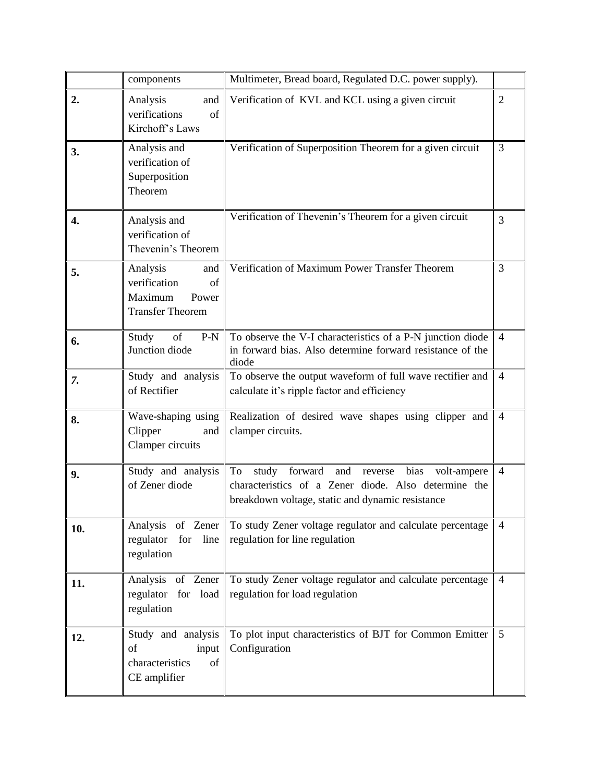|     | components                                                                           | Multimeter, Bread board, Regulated D.C. power supply).                                                                                                                   |                |
|-----|--------------------------------------------------------------------------------------|--------------------------------------------------------------------------------------------------------------------------------------------------------------------------|----------------|
| 2.  | Analysis<br>and<br>verifications<br>of<br>Kirchoff's Laws                            | Verification of KVL and KCL using a given circuit                                                                                                                        | $\overline{2}$ |
| 3.  | Analysis and<br>verification of<br>Superposition<br>Theorem                          | Verification of Superposition Theorem for a given circuit                                                                                                                | 3              |
| 4.  | Analysis and<br>verification of<br>Thevenin's Theorem                                | Verification of Thevenin's Theorem for a given circuit                                                                                                                   | 3              |
| 5.  | Analysis<br>and<br>verification<br>of<br>Maximum<br>Power<br><b>Transfer Theorem</b> | Verification of Maximum Power Transfer Theorem                                                                                                                           | 3              |
| 6.  | Study<br>of<br>$P-N$<br>Junction diode                                               | To observe the V-I characteristics of a P-N junction diode<br>in forward bias. Also determine forward resistance of the<br>diode                                         | $\overline{4}$ |
| 7.  | Study and analysis<br>of Rectifier                                                   | To observe the output waveform of full wave rectifier and<br>calculate it's ripple factor and efficiency                                                                 | $\overline{4}$ |
| 8.  | Wave-shaping using<br>Clipper<br>and<br>Clamper circuits                             | Realization of desired wave shapes using clipper and<br>clamper circuits.                                                                                                | $\overline{4}$ |
| 9.  | Study and analysis<br>of Zener diode                                                 | study forward<br>and<br>To<br>bias<br>reverse<br>volt-ampere<br>characteristics of a Zener diode. Also determine the<br>breakdown voltage, static and dynamic resistance | $\overline{4}$ |
| 10. | Analysis of Zener<br>regulator<br>for line<br>regulation                             | To study Zener voltage regulator and calculate percentage<br>regulation for line regulation                                                                              | $\overline{4}$ |
| 11. | Analysis of Zener<br>regulator for load<br>regulation                                | To study Zener voltage regulator and calculate percentage<br>regulation for load regulation                                                                              | $\overline{4}$ |
| 12. | Study and analysis<br>of<br>input<br>characteristics<br>of<br>CE amplifier           | To plot input characteristics of BJT for Common Emitter<br>Configuration                                                                                                 | 5              |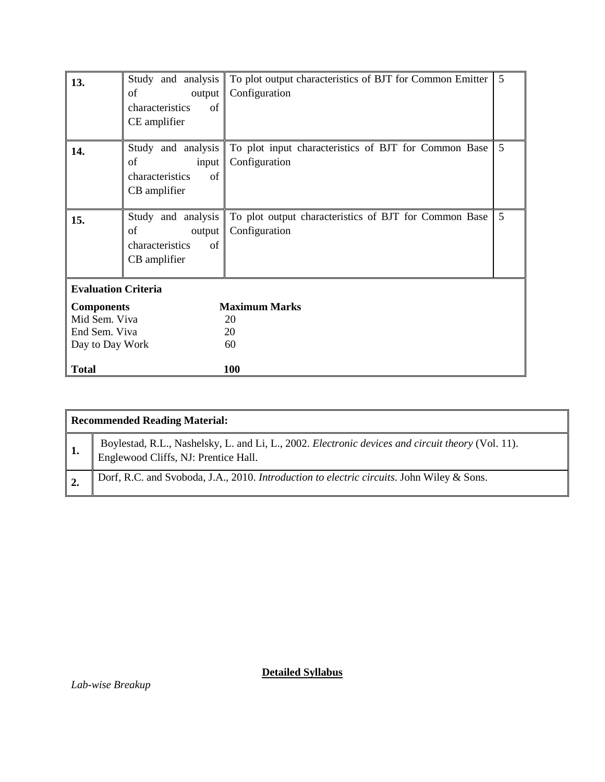| 13.                                                                    | Study and analysis<br>of<br>output<br>characteristics<br>of<br>CE amplifier | To plot output characteristics of BJT for Common Emitter<br>Configuration | 5 |
|------------------------------------------------------------------------|-----------------------------------------------------------------------------|---------------------------------------------------------------------------|---|
| 14.                                                                    | Study and analysis<br>of<br>input<br>characteristics<br>of<br>CB amplifier  | To plot input characteristics of BJT for Common Base<br>Configuration     | 5 |
| 15.                                                                    | Study and analysis<br>of<br>output<br>characteristics<br>of<br>CB amplifier | To plot output characteristics of BJT for Common Base<br>Configuration    | 5 |
| <b>Evaluation Criteria</b>                                             |                                                                             |                                                                           |   |
| <b>Components</b><br>Mid Sem. Viva<br>End Sem. Viva<br>Day to Day Work |                                                                             | <b>Maximum Marks</b><br>20<br>20<br>60                                    |   |
| <b>Total</b>                                                           |                                                                             | 100                                                                       |   |

| <b>Recommended Reading Material:</b>                                                                                                      |  |  |  |  |
|-------------------------------------------------------------------------------------------------------------------------------------------|--|--|--|--|
| Boylestad, R.L., Nashelsky, L. and Li, L., 2002. Electronic devices and circuit theory (Vol. 11).<br>Englewood Cliffs, NJ: Prentice Hall. |  |  |  |  |
| Dorf, R.C. and Svoboda, J.A., 2010. Introduction to electric circuits. John Wiley & Sons.                                                 |  |  |  |  |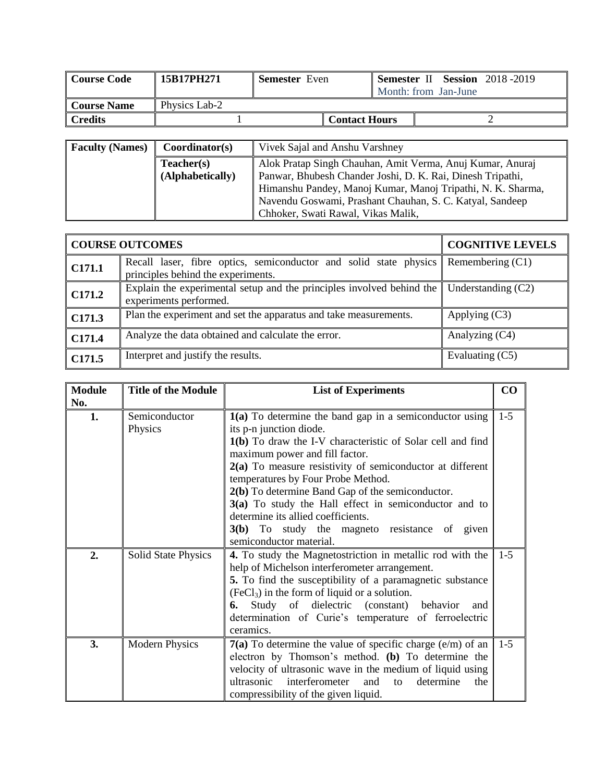| Course Code        | 15B17PH271    | <b>Semester</b> Even |                      |  | Month: from Jan-June | <b>Semester II Session</b> 2018-2019 |
|--------------------|---------------|----------------------|----------------------|--|----------------------|--------------------------------------|
| <b>Course Name</b> | Physics Lab-2 |                      |                      |  |                      |                                      |
| l Credits          |               |                      | <b>Contact Hours</b> |  |                      |                                      |

| <b>Faculty (Names)</b> | Coordinator(s)                 | Vivek Sajal and Anshu Varshney                                                                                                                                                                                                                                                           |  |  |  |
|------------------------|--------------------------------|------------------------------------------------------------------------------------------------------------------------------------------------------------------------------------------------------------------------------------------------------------------------------------------|--|--|--|
|                        | Teacher(s)<br>(Alphabetically) | Alok Pratap Singh Chauhan, Amit Verma, Anuj Kumar, Anuraj<br>Panwar, Bhubesh Chander Joshi, D. K. Rai, Dinesh Tripathi,<br>Himanshu Pandey, Manoj Kumar, Manoj Tripathi, N. K. Sharma,<br>Navendu Goswami, Prashant Chauhan, S. C. Katyal, Sandeep<br>Chhoker, Swati Rawal, Vikas Malik, |  |  |  |

|                | <b>COURSE OUTCOMES</b>                                                                                  | <b>COGNITIVE LEVELS</b> |
|----------------|---------------------------------------------------------------------------------------------------------|-------------------------|
| $\vert$ C171.1 | Recall laser, fibre optics, semiconductor and solid state physics<br>principles behind the experiments. | Remembering (C1)        |
| $\vert$ C171.2 | Explain the experimental setup and the principles involved behind the<br>experiments performed.         | Understanding $(C2)$    |
| $\vert$ C171.3 | Plan the experiment and set the apparatus and take measurements.                                        | Applying $(C3)$         |
| $\vert$ C171.4 | Analyze the data obtained and calculate the error.                                                      | Analyzing (C4)          |
| CI71.5         | Interpret and justify the results.                                                                      | Evaluating (C5)         |

| <b>Module</b> | <b>Title of the Module</b> | <b>List of Experiments</b>                                                    | CO      |
|---------------|----------------------------|-------------------------------------------------------------------------------|---------|
| No.           |                            |                                                                               |         |
| 1.            | Semiconductor              | 1(a) To determine the band gap in a semiconductor using                       | $1 - 5$ |
|               | Physics                    | its p-n junction diode.                                                       |         |
|               |                            | 1(b) To draw the I-V characteristic of Solar cell and find                    |         |
|               |                            | maximum power and fill factor.                                                |         |
|               |                            | $2(a)$ To measure resistivity of semiconductor at different                   |         |
|               |                            | temperatures by Four Probe Method.                                            |         |
|               |                            | 2(b) To determine Band Gap of the semiconductor.                              |         |
|               |                            | 3(a) To study the Hall effect in semiconductor and to                         |         |
|               |                            | determine its allied coefficients.                                            |         |
|               |                            | 3(b) To study the magneto resistance of given                                 |         |
|               |                            | semiconductor material.                                                       |         |
| 2.            | <b>Solid State Physics</b> | 4. To study the Magnetostriction in metallic rod with the                     | $1 - 5$ |
|               |                            | help of Michelson interferometer arrangement.                                 |         |
|               |                            | 5. To find the susceptibility of a paramagnetic substance                     |         |
|               |                            | $(FeCl3)$ in the form of liquid or a solution.                                |         |
|               |                            | Study of dielectric (constant) behavior<br>6. —<br>and                        |         |
|               |                            | determination of Curie's temperature of ferroelectric                         |         |
|               |                            | ceramics.                                                                     |         |
| 3.            | <b>Modern Physics</b>      | <b>7(a)</b> To determine the value of specific charge (e/m) of an $\vert$ 1-5 |         |
|               |                            | electron by Thomson's method. (b) To determine the                            |         |
|               |                            | velocity of ultrasonic wave in the medium of liquid using                     |         |
|               |                            | interferometer<br>ultrasonic<br>determine<br>the<br>and<br>to                 |         |
|               |                            | compressibility of the given liquid.                                          |         |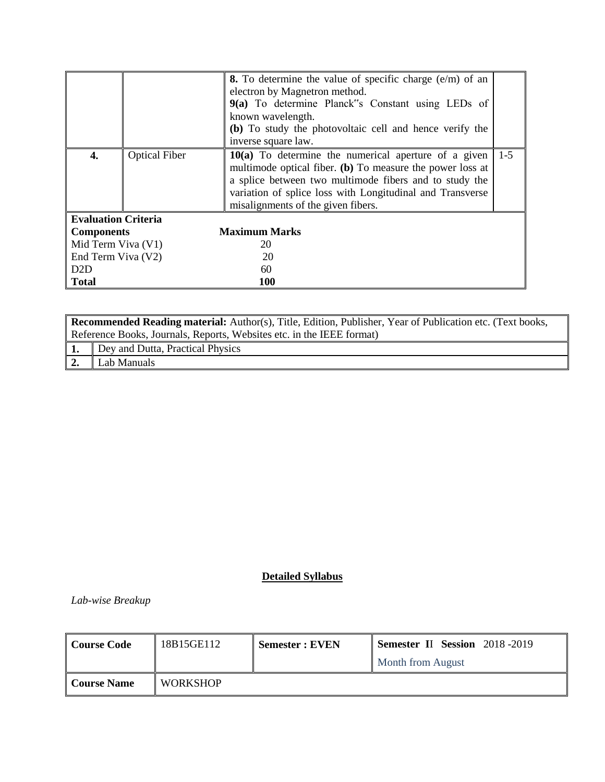|                            |                      | <b>8.</b> To determine the value of specific charge $(e/m)$ of an<br>electron by Magnetron method.<br>9(a) To determine Planck"s Constant using LEDs of<br>known wavelength.<br>(b) To study the photovoltaic cell and hence verify the<br>inverse square law.                   |       |
|----------------------------|----------------------|----------------------------------------------------------------------------------------------------------------------------------------------------------------------------------------------------------------------------------------------------------------------------------|-------|
| 4.                         | <b>Optical Fiber</b> | $10(a)$ To determine the numerical aperture of a given<br>multimode optical fiber. (b) To measure the power loss at<br>a splice between two multimode fibers and to study the<br>variation of splice loss with Longitudinal and Transverse<br>misalignments of the given fibers. | $1-5$ |
| <b>Evaluation Criteria</b> |                      |                                                                                                                                                                                                                                                                                  |       |
| <b>Components</b>          |                      | <b>Maximum Marks</b>                                                                                                                                                                                                                                                             |       |
| Mid Term Viva (V1)         |                      | 20                                                                                                                                                                                                                                                                               |       |
| End Term Viva (V2)         |                      | 20                                                                                                                                                                                                                                                                               |       |
| D <sub>2</sub> D           |                      | 60                                                                                                                                                                                                                                                                               |       |
| <b>Total</b>               |                      | <b>100</b>                                                                                                                                                                                                                                                                       |       |

|                  | Recommended Reading material: Author(s), Title, Edition, Publisher, Year of Publication etc. (Text books, |  |  |
|------------------|-----------------------------------------------------------------------------------------------------------|--|--|
|                  | Reference Books, Journals, Reports, Websites etc. in the IEEE format)                                     |  |  |
|                  | 1. Dey and Dutta, Practical Physics                                                                       |  |  |
| $\vert 2. \vert$ | Lab Manuals                                                                                               |  |  |

*Lab-wise Breakup*

| Course Code                | 18B15GE112      | <b>Semester: EVEN</b> | <b>Semester II Session</b> 2018-2019 |
|----------------------------|-----------------|-----------------------|--------------------------------------|
|                            |                 |                       | <b>Month from August</b>             |
| <sup>'</sup> l Course Name | <b>WORKSHOP</b> |                       |                                      |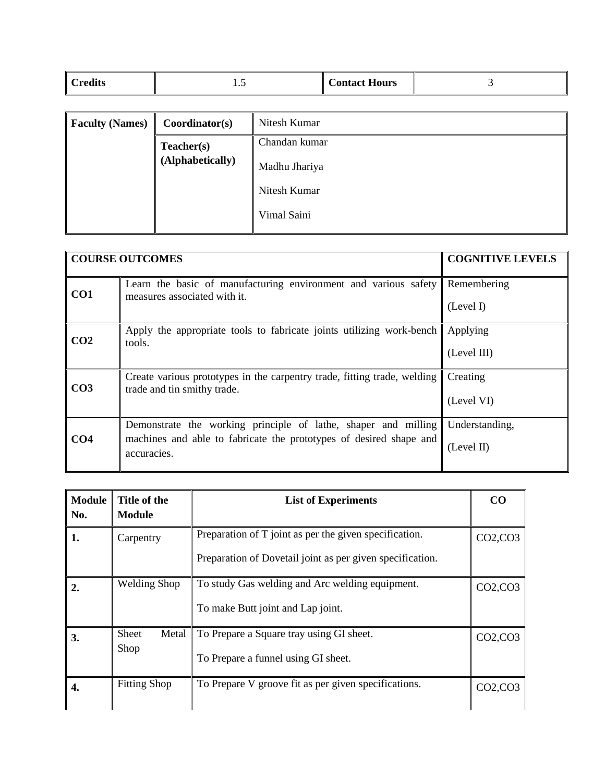| Credits<br><b>Contact Hours</b><br>$\ddotsc$ |  |  |  |  |
|----------------------------------------------|--|--|--|--|
|----------------------------------------------|--|--|--|--|

| <b>Faculty (Names)</b> | Coordinator(s)   | Nitesh Kumar  |
|------------------------|------------------|---------------|
|                        | Teacher(s)       | Chandan kumar |
|                        | (Alphabetically) | Madhu Jhariya |
|                        |                  | Nitesh Kumar  |
|                        |                  | Vimal Saini   |

|                 | <b>COURSE OUTCOMES</b>                                                                                  | <b>COGNITIVE LEVELS</b> |
|-----------------|---------------------------------------------------------------------------------------------------------|-------------------------|
| CO <sub>1</sub> | Learn the basic of manufacturing environment and various safety<br>measures associated with it.         | Remembering             |
|                 |                                                                                                         | (Level I)               |
| CO <sub>2</sub> | Apply the appropriate tools to fabricate joints utilizing work-bench<br>tools.                          | Applying                |
|                 |                                                                                                         | (Level III)             |
| CO <sub>3</sub> | Create various prototypes in the carpentry trade, fitting trade, welding<br>trade and tin smithy trade. | Creating                |
|                 |                                                                                                         | (Level VI)              |
|                 | Demonstrate the working principle of lathe, shaper and milling                                          | Understanding,          |
| CO <sub>4</sub> | machines and able to fabricate the prototypes of desired shape and<br>accuracies.                       | (Level II)              |
|                 |                                                                                                         |                         |

| <b>Module</b><br>No. | Title of the<br>Module | <b>List of Experiments</b>                                                                                          | CO            |
|----------------------|------------------------|---------------------------------------------------------------------------------------------------------------------|---------------|
| 1.                   | Carpentry              | Preparation of T joint as per the given specification.<br>Preparation of Dovetail joint as per given specification. | CO2, CO3      |
| 2.                   | <b>Welding Shop</b>    | To study Gas welding and Arc welding equipment.<br>To make Butt joint and Lap joint.                                | CO2, CO3      |
| 3.                   | Sheet<br>Metal<br>Shop | To Prepare a Square tray using GI sheet.<br>To Prepare a funnel using GI sheet.                                     | $CO2$ , $CO3$ |
| 4.                   | <b>Fitting Shop</b>    | To Prepare V groove fit as per given specifications.                                                                | $CO2$ , $CO3$ |